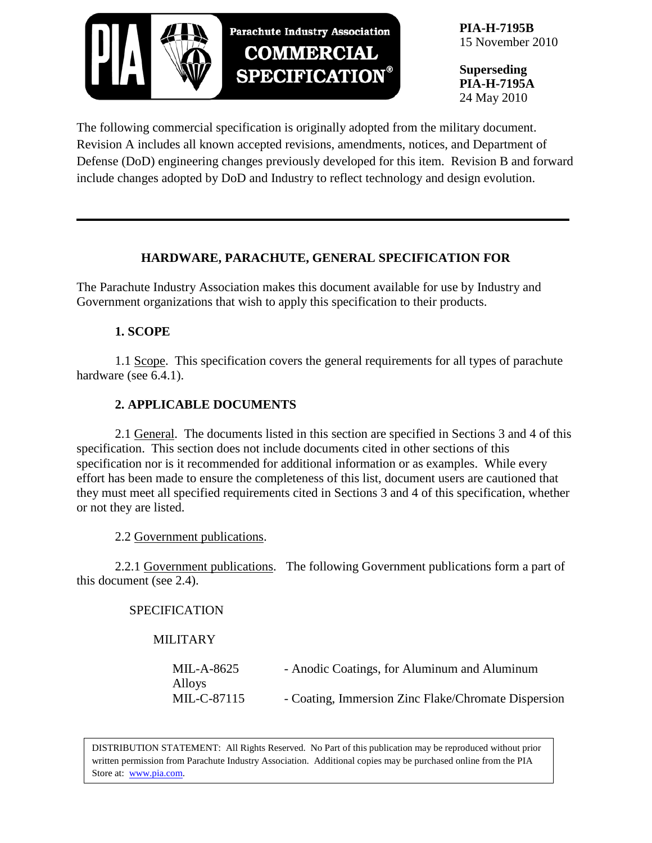

**PIA-H-7195B** 15 November 2010

**Superseding PIA-H-7195A** 24 May 2010

The following commercial specification is originally adopted from the military document. Revision A includes all known accepted revisions, amendments, notices, and Department of Defense (DoD) engineering changes previously developed for this item. Revision B and forward include changes adopted by DoD and Industry to reflect technology and design evolution.

# **HARDWARE, PARACHUTE, GENERAL SPECIFICATION FOR**

The Parachute Industry Association makes this document available for use by Industry and Government organizations that wish to apply this specification to their products.

### **1. SCOPE**

1.1 Scope. This specification covers the general requirements for all types of parachute hardware (see 6.4.1).

# **2. APPLICABLE DOCUMENTS**

2.1 General. The documents listed in this section are specified in Sections 3 and 4 of this specification. This section does not include documents cited in other sections of this specification nor is it recommended for additional information or as examples. While every effort has been made to ensure the completeness of this list, document users are cautioned that they must meet all specified requirements cited in Sections 3 and 4 of this specification, whether or not they are listed.

2.2 Government publications.

2.2.1 Government publications. The following Government publications form a part of this document (see 2.4).

### SPECIFICATION

## MILITARY

| MIL-A-8625  | - Anodic Coatings, for Aluminum and Aluminum        |
|-------------|-----------------------------------------------------|
| Alloys      |                                                     |
| MIL-C-87115 | - Coating, Immersion Zinc Flake/Chromate Dispersion |

DISTRIBUTION STATEMENT: All Rights Reserved. No Part of this publication may be reproduced without prior written permission from Parachute Industry Association. Additional copies may be purchased online from the PIA Store at: [www.pia.com.](http://www.pia.com/)